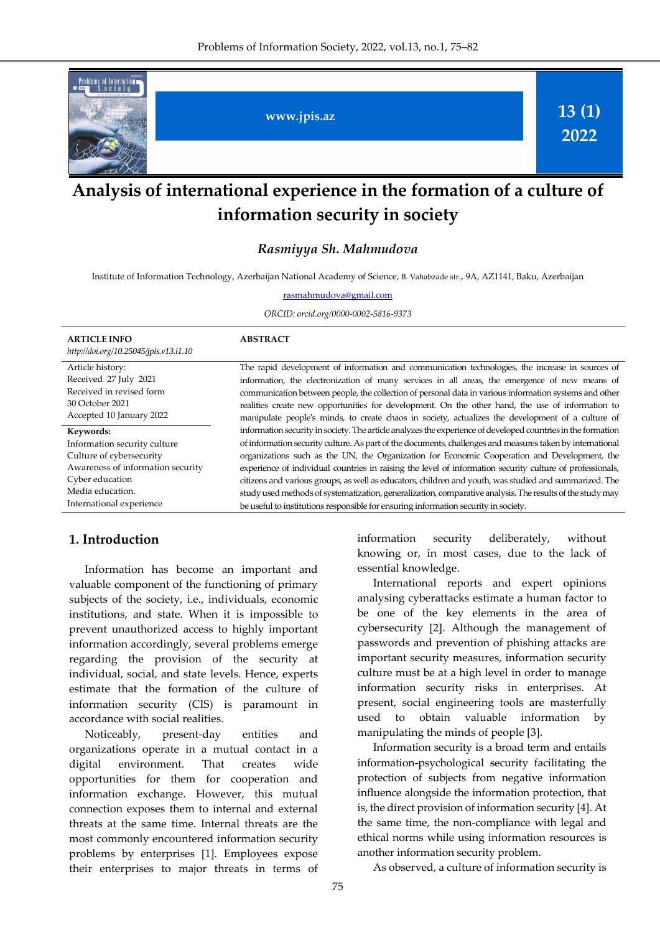

# **Analysis of international experience in the formation of a culture of information security in society**

*Rasmiyya Sh. Mahmudova*

Institute of Information Technology, Azerbaijan National Academy of Science, B. Vahabzade str., 9A, AZ1141, Baku, Azerbaijan

[rasmahmudova@gmail.com](mailto:rasmahmudova@gmail.com)

*ORCID: orcid.org/0000-0002-5816-9373*

| <b>ARTICLE INFO</b><br>http://doi.org/10.25045/jpis.v13.i1.10 | <b>ABSTRACT</b>                                                                                              |
|---------------------------------------------------------------|--------------------------------------------------------------------------------------------------------------|
| Article history:                                              | The rapid development of information and communication technologies, the increase in sources of              |
| Received 27 July 2021                                         | information, the electronization of many services in all areas, the emergence of new means of                |
| Received in revised form                                      | communication between people, the collection of personal data in various information systems and other       |
| 30 October 2021                                               | realities create new opportunities for development. On the other hand, the use of information to             |
| Accepted 10 January 2022                                      | manipulate people's minds, to create chaos in society, actualizes the development of a culture of            |
| Keywords:                                                     | information security in society. The article analyzes the experience of developed countries in the formation |
| Information security culture                                  | of information security culture. As part of the documents, challenges and measures taken by international    |
| Culture of cybersecurity                                      | organizations such as the UN, the Organization for Economic Cooperation and Development, the                 |
| Awareness of information security                             | experience of individual countries in raising the level of information security culture of professionals,    |
| Cyber education                                               | citizens and various groups, as well as educators, children and youth, was studied and summarized. The       |
| Media education.                                              | study used methods of systematization, generalization, comparative analysis. The results of the study may    |
| International experience                                      | be useful to institutions responsible for ensuring information security in society.                          |

#### **1. Introduction**

Information has become an important and valuable component of the functioning of primary subjects of the society, i.e., individuals, economic institutions, and state. When it is impossible to prevent unauthorized access to highly important information accordingly, several problems emerge regarding the provision of the security at individual, social, and state levels. Hence, experts estimate that the formation of the culture of information security (CIS) is paramount in accordance with social realities.

Noticeably, present-day entities and organizations operate in a mutual contact in a digital environment. That creates wide opportunities for them for cooperation and information exchange. However, this mutual connection exposes them to internal and external threats at the same time. Internal threats are the most commonly encountered information security problems by enterprises [1]. Employees expose their enterprises to major threats in terms of information security deliberately, without knowing or, in most cases, due to the lack of essential knowledge.

International reports and expert opinions analysing cyberattacks estimate a human factor to be one of the key elements in the area of cybersecurity [2]. Although the management of passwords and prevention of phishing attacks are important security measures, information security culture must be at a high level in order to manage information security risks in enterprises. At present, social engineering tools are masterfully used to obtain valuable information by manipulating the minds of people [3].

Information security is a broad term and entails information-psychological security facilitating the protection of subjects from negative information influence alongside the information protection, that is, the direct provision of information security [4]. At the same time, the non-compliance with legal and ethical norms while using information resources is another information security problem.

As observed, a culture of information security is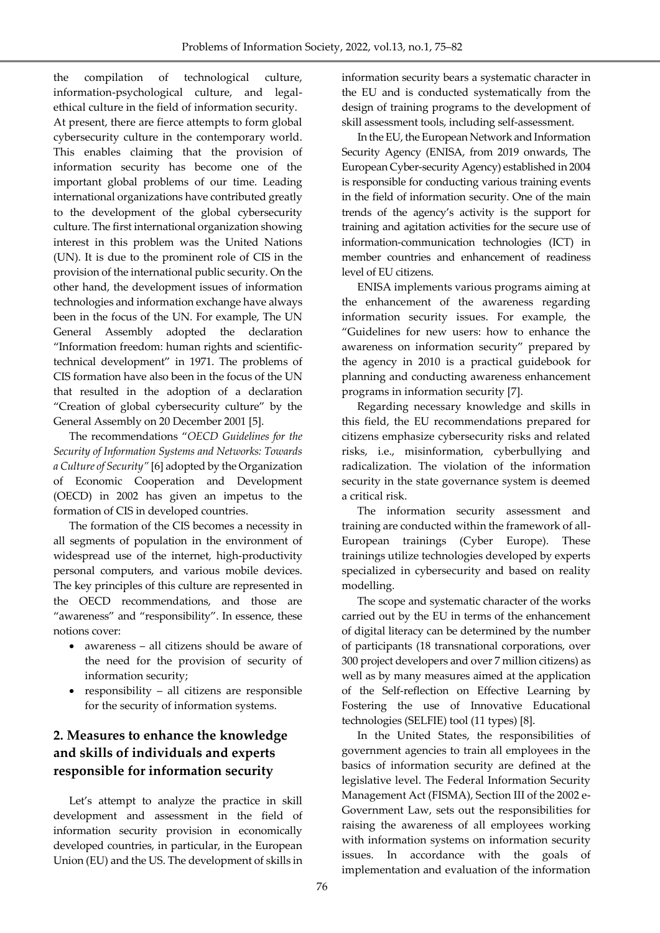the compilation of technological culture, information-psychological culture, and legalethical culture in the field of information security. At present, there are fierce attempts to form global cybersecurity culture in the contemporary world. This enables claiming that the provision of information security has become one of the important global problems of our time. Leading international organizations have contributed greatly to the development of the global cybersecurity culture. The first international organization showing interest in this problem was the United Nations (UN). It is due to the prominent role of CIS in the provision of the international public security. On the other hand, the development issues of information technologies and information exchange have always been in the focus of the UN. For example, The UN General Assembly adopted the declaration "Information freedom: human rights and scientifictechnical development" in 1971. The problems of CIS formation have also been in the focus of the UN that resulted in the adoption of a declaration "Creation of global cybersecurity culture" by the General Assembly on 20 December 2001 [5].

The recommendations "*OECD Guidelines for the Security of Information Systems and Networks: Towards a Culture of Security"* [6] adopted by the Organization of Economic Cooperation and Development (OECD) in 2002 has given an impetus to the formation of CIS in developed countries.

The formation of the CIS becomes a necessity in all segments of population in the environment of widespread use of the internet, high-productivity personal computers, and various mobile devices. The key principles of this culture are represented in the OECD recommendations, and those are "awareness" and "responsibility". In essence, these notions cover:

- awareness all citizens should be aware of the need for the provision of security of information security;
- responsibility all citizens are responsible for the security of information systems.

### **2. Measures to enhance the knowledge and skills of individuals and experts responsible for information security**

Let's attempt to analyze the practice in skill development and assessment in the field of information security provision in economically developed countries, in particular, in the European Union (EU) and the US. The development of skills in

information security bears a systematic character in the EU and is conducted systematically from the design of training programs to the development of skill assessment tools, including self-assessment.

In the EU, the European Network and Information Security Agency (ENISA, from 2019 onwards, The European Cyber-security Agency) established in 2004 is responsible for conducting various training events in the field of information security. One of the main trends of the agency's activity is the support for training and agitation activities for the secure use of information-communication technologies (ICT) in member countries and enhancement of readiness level of EU citizens.

ENISA implements various programs aiming at the enhancement of the awareness regarding information security issues. For example, the "Guidelines for new users: how to enhance the awareness on information security" prepared by the agency in 2010 is a practical guidebook for planning and conducting awareness enhancement programs in information security [7].

Regarding necessary knowledge and skills in this field, the EU recommendations prepared for citizens emphasize cybersecurity risks and related risks, i.e., misinformation, cyberbullying and radicalization. The violation of the information security in the state governance system is deemed a critical risk.

The information security assessment and training are conducted within the framework of all-European trainings (Cyber Europe). These trainings utilize technologies developed by experts specialized in cybersecurity and based on reality modelling.

The scope and systematic character of the works carried out by the EU in terms of the enhancement of digital literacy can be determined by the number of participants (18 transnational corporations, over 300 project developers and over 7 million citizens) as well as by many measures aimed at the application of the Self-reflection on Effective Learning by Fostering the use of Innovative Educational technologies (SELFIE) tool (11 types) [8].

In the United States, the responsibilities of government agencies to train all employees in the basics of information security are defined at the legislative level. The Federal Information Security Management Act (FISMA), Section III of the 2002 e-Government Law, sets out the responsibilities for raising the awareness of all employees working with information systems on information security issues. In accordance with the goals of implementation and evaluation of the information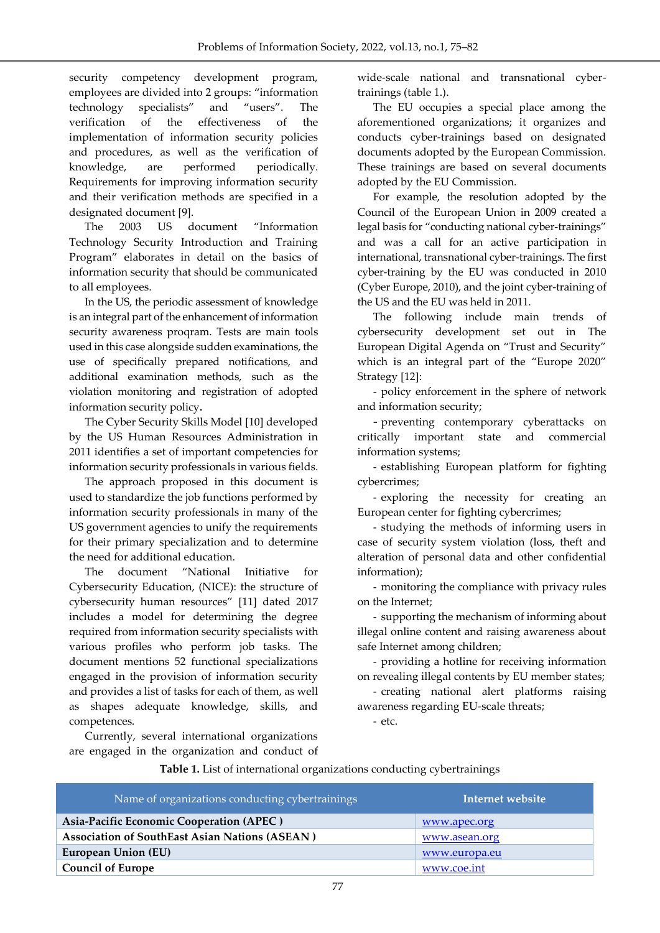security competency development program, employees are divided into 2 groups: "information technology specialists" and "users". The verification of the effectiveness of the implementation of information security policies and procedures, as well as the verification of knowledge, are performed periodically. Requirements for improving information security and their verification methods are specified in a designated document [9].

The 2003 US document "Information Technology Security Introduction and Training Program" elaborates in detail on the basics of information security that should be communicated to all employees.

In the US, the periodic assessment of knowledge is an integral part of the enhancement of information security awareness proqram. Tests are main tools used in this case alongside sudden examinations, the use of specifically prepared notifications, and additional examination methods, such as the violation monitoring and registration of adopted information security policy.

The Cyber Security Skills Model [10] developed by the US Human Resources Administration in 2011 identifies a set of important competencies for information security professionals in various fields.

The approach proposed in this document is used to standardize the job functions performed by information security professionals in many of the US government agencies to unify the requirements for their primary specialization and to determine the need for additional education.

The document "National Initiative for Cybersecurity Education, (NICE): the structure of cybersecurity human resources" [11] dated 2017 includes a model for determining the degree required from information security specialists with various profiles who perform job tasks. The document mentions 52 functional specializations engaged in the provision of information security and provides a list of tasks for each of them, as well as shapes adequate knowledge, skills, and competences.

Currently, several international organizations are engaged in the organization and conduct of wide-scale national and transnational cybertrainings (table 1.).

The EU occupies a special place among the aforementioned organizations; it organizes and conducts cyber-trainings based on designated documents adopted by the European Commission. These trainings are based on several documents adopted by the EU Commission.

For example, the resolution adopted by the Council of the European Union in 2009 created a legal basis for "conducting national cyber-trainings" and was a call for an active participation in international, transnational cyber-trainings. The first cyber-training by the EU was conducted in 2010 (Cyber Europe, 2010), and the joint cyber-training of the US and the EU was held in 2011.

The following include main trends of cybersecurity development set out in The European Digital Agenda on "Trust and Security" which is an integral part of the "Europe 2020" Strategy [12]:

- policy enforcement in the sphere of network and information security;

- preventing contemporary cyberattacks on critically important state and commercial information systems;

- establishing European platform for fighting cybercrimes;

- exploring the necessity for creating an European center for fighting cybercrimes;

- studying the methods of informing users in case of security system violation (loss, theft and alteration of personal data and other confidential information);

- monitoring the compliance with privacy rules on the Internet;

- supporting the mechanism of informing about illegal online content and raising awareness about safe Internet among children;

- providing a hotline for receiving information on revealing illegal contents by EU member states;

- creating national alert platforms raising awareness regarding EU-scale threats;

- etc.

| Table 1. List of international organizations conducting cybertrainings |  |  |
|------------------------------------------------------------------------|--|--|
|                                                                        |  |  |

| Name of organizations conducting cybertrainings | Internet website |
|-------------------------------------------------|------------------|
| Asia-Pacific Economic Cooperation (APEC)        | www.apec.org     |
| Association of SouthEast Asian Nations (ASEAN)  | www.asean.org    |
| <b>European Union (EU)</b>                      | www.europa.eu    |
| <b>Council of Europe</b>                        | www.coe.int      |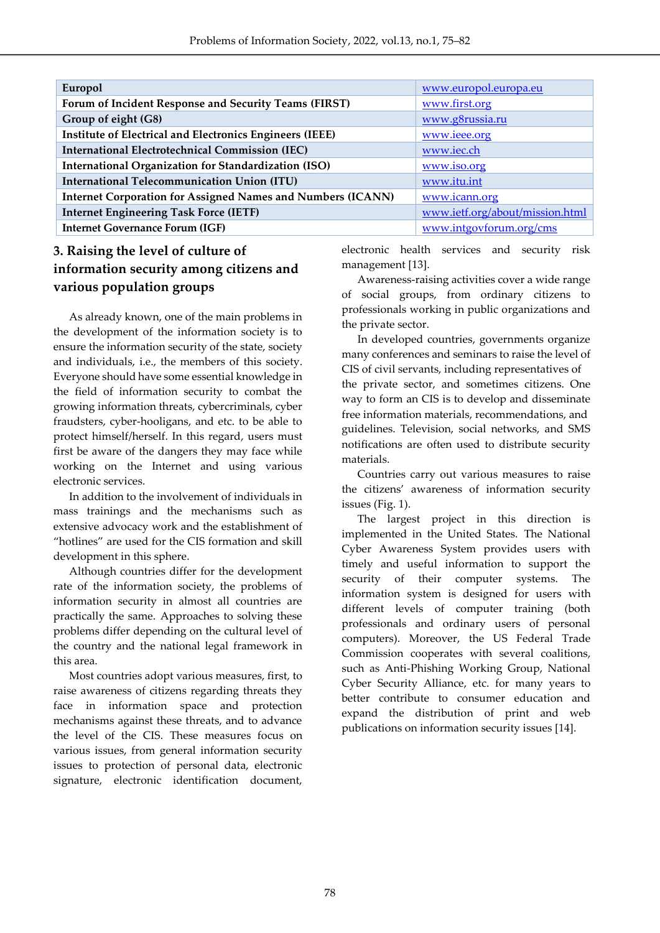| Europol                                                            | www.europol.europa.eu           |
|--------------------------------------------------------------------|---------------------------------|
| Forum of Incident Response and Security Teams (FIRST)              | www.first.org                   |
| Group of eight (G8)                                                | www.g8russia.ru                 |
| Institute of Electrical and Electronics Engineers (IEEE)           | www.ieee.org                    |
| <b>International Electrotechnical Commission (IEC)</b>             | www.iec.ch                      |
| <b>International Organization for Standardization (ISO)</b>        | www.iso.org                     |
| <b>International Telecommunication Union (ITU)</b>                 | www.itu.int                     |
| <b>Internet Corporation for Assigned Names and Numbers (ICANN)</b> | www.icann.org                   |
| <b>Internet Engineering Task Force (IETF)</b>                      | www.ietf.org/about/mission.html |
| <b>Internet Governance Forum (IGF)</b>                             | www.intgovforum.org/cms         |
|                                                                    |                                 |

## **3. Raising the level of culture of information security among citizens and various population groups**

As already known, one of the main problems in the development of the information society is to ensure the information security of the state, society and individuals, i.e., the members of this society. Everyone should have some essential knowledge in the field of information security to combat the growing information threats, cybercriminals, cyber fraudsters, cyber-hooligans, and etc. to be able to protect himself/herself. In this regard, users must first be aware of the dangers they may face while working on the Internet and using various electronic services.

In addition to the involvement of individuals in mass trainings and the mechanisms such as extensive advocacy work and the establishment of "hotlines" are used for the CIS formation and skill development in this sphere.

Although countries differ for the development rate of the information society, the problems of information security in almost all countries are practically the same. Approaches to solving these problems differ depending on the cultural level of the country and the national legal framework in this area.

Most countries adopt various measures, first, to raise awareness of citizens regarding threats they face in information space and protection mechanisms against these threats, and to advance the level of the CIS. These measures focus on various issues, from general information security issues to protection of personal data, electronic signature, electronic identification document,

electronic health services and security risk management [13].

Awareness-raising activities cover a wide range of social groups, from ordinary citizens to professionals working in public organizations and the private sector.

In developed countries, governments organize many conferences and seminars to raise the level of CIS of civil servants, including representatives of the private sector, and sometimes citizens. One way to form an CIS is to develop and disseminate free information materials, recommendations, and guidelines. Television, social networks, and SMS notifications are often used to distribute security materials.

Countries carry out various measures to raise the citizens' awareness of information security issues (Fig. 1).

The largest project in this direction is implemented in the United States. The National Cyber Awareness System provides users with timely and useful information to support the security of their computer systems. The information system is designed for users with different levels of computer training (both professionals and ordinary users of personal computers). Moreover, the US Federal Trade Commission cooperates with several coalitions, such as Anti-Phishing Working Group, National Cyber Security Alliance, etc. for many years to better contribute to consumer education and expand the distribution of print and web publications on information security issues [14].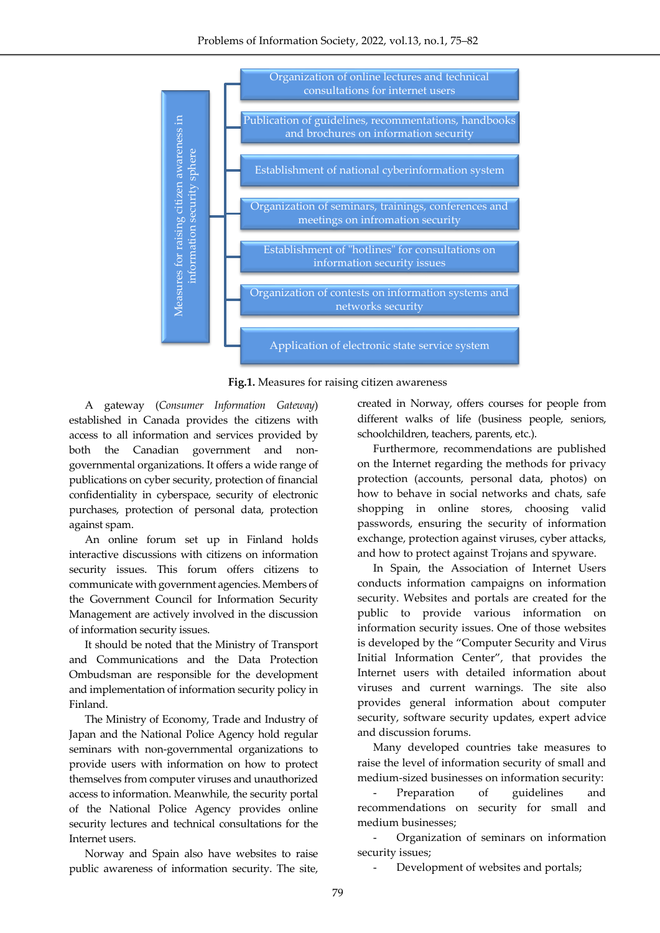

**Fig.1.** Measures for raising citizen awareness

A gateway (*Consumer Information Gateway*) established in Canada provides the citizens with access to all information and services provided by both the Canadian government and nongovernmental organizations. It offers a wide range of publications on cyber security, protection of financial confidentiality in cyberspace, security of electronic purchases, protection of personal data, protection against spam.

An online forum set up in Finland holds interactive discussions with citizens on information security issues. This forum offers citizens to communicate with government agencies. Members of the Government Council for Information Security Management are actively involved in the discussion of information security issues.

It should be noted that the Ministry of Transport and Communications and the Data Protection Ombudsman are responsible for the development and implementation of information security policy in Finland.

The Ministry of Economy, Trade and Industry of Japan and the National Police Agency hold regular seminars with non-governmental organizations to provide users with information on how to protect themselves from computer viruses and unauthorized access to information. Meanwhile, the security portal of the National Police Agency provides online security lectures and technical consultations for the Internet users.

Norway and Spain also have websites to raise public awareness of information security. The site,

created in Norway, offers courses for people from different walks of life (business people, seniors, schoolchildren, teachers, parents, etc.).

Furthermore, recommendations are published on the Internet regarding the methods for privacy protection (accounts, personal data, photos) on how to behave in social networks and chats, safe shopping in online stores, choosing valid passwords, ensuring the security of information exchange, protection against viruses, cyber attacks, and how to protect against Trojans and spyware.

In Spain, the Association of Internet Users conducts information campaigns on information security. Websites and portals are created for the public to provide various information on information security issues. One of those websites is developed by the "Computer Security and Virus Initial Information Center", that provides the Internet users with detailed information about viruses and current warnings. The site also provides general information about computer security, software security updates, expert advice and discussion forums.

Many developed countries take measures to raise the level of information security of small and medium-sized businesses on information security:

Preparation of guidelines and recommendations on security for small and medium businesses;

- Organization of seminars on information security issues;

Development of websites and portals;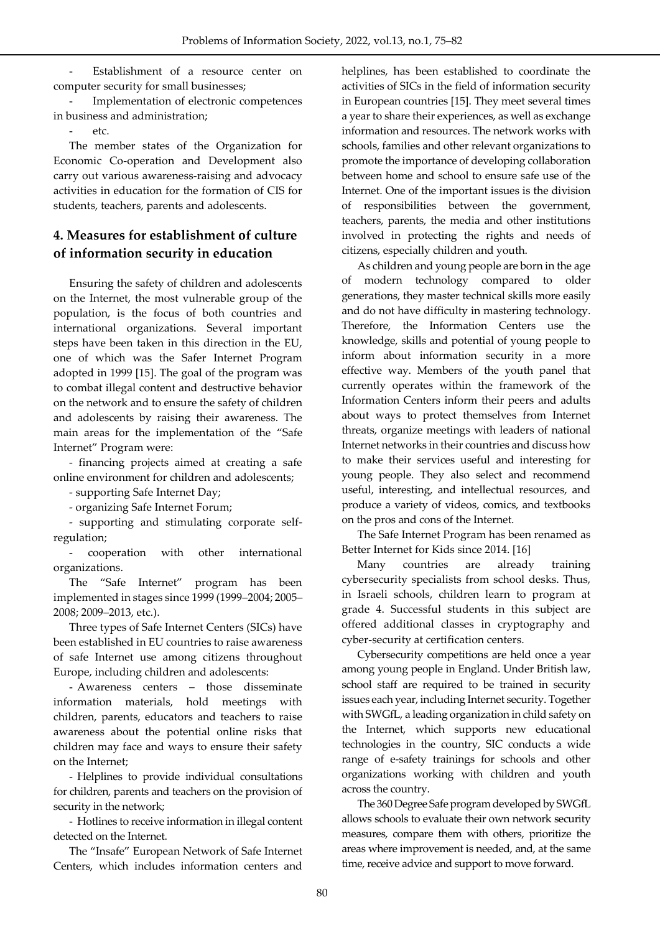Establishment of a resource center on computer security for small businesses;

Implementation of electronic competences in business and administration;

 $_{\text{e}^{\dagger}c}$ 

The member states of the Organization for Economic Co-operation and Development also carry out various awareness-raising and advocacy activities in education for the formation of CIS for students, teachers, parents and adolescents.

#### **4. Measures for establishment of culture of information security in education**

Ensuring the safety of children and adolescents on the Internet, the most vulnerable group of the population, is the focus of both countries and international organizations. Several important steps have been taken in this direction in the EU, one of which was the Safer Internet Program adopted in 1999 [15]. The goal of the program was to combat illegal content and destructive behavior on the network and to ensure the safety of children and adolescents by raising their awareness. The main areas for the implementation of the "Safe Internet" Program were:

- financing projects aimed at creating a safe online environment for children and adolescents;

- supporting Safe Internet Day;

- organizing Safe Internet Forum;

- supporting and stimulating corporate selfregulation;

- cooperation with other international organizations.

The "Safe Internet" program has been implemented in stages since 1999 (1999–2004; 2005– 2008; 2009–2013, etc.).

Three types of Safe Internet Centers (SICs) have been established in EU countries to raise awareness of safe Internet use among citizens throughout Europe, including children and adolescents:

- Awareness centers – those disseminate information materials, hold meetings with children, parents, educators and teachers to raise awareness about the potential online risks that children may face and ways to ensure their safety on the Internet;

- Helplines to provide individual consultations for children, parents and teachers on the provision of security in the network;

- Hotlines to receive information in illegal content detected on the Internet.

The "Insafe" European Network of Safe Internet Centers, which includes information centers and helplines, has been established to coordinate the activities of SICs in the field of information security in European countries [15]. They meet several times a year to share their experiences, as well as exchange information and resources. The network works with schools, families and other relevant organizations to promote the importance of developing collaboration between home and school to ensure safe use of the Internet. One of the important issues is the division of responsibilities between the government, teachers, parents, the media and other institutions involved in protecting the rights and needs of citizens, especially children and youth.

As children and young people are born in the age of modern technology compared to older generations, they master technical skills more easily and do not have difficulty in mastering technology. Therefore, the Information Centers use the knowledge, skills and potential of young people to inform about information security in a more effective way. Members of the youth panel that currently operates within the framework of the Information Centers inform their peers and adults about ways to protect themselves from Internet threats, organize meetings with leaders of national Internet networks in their countries and discuss how to make their services useful and interesting for young people. They also select and recommend useful, interesting, and intellectual resources, and produce a variety of videos, comics, and textbooks on the pros and cons of the Internet.

The Safe Internet Program has been renamed as Better Internet for Kids since 2014. [16]

Many countries are already training cybersecurity specialists from school desks. Thus, in Israeli schools, children learn to program at grade 4. Successful students in this subject are offered additional classes in cryptography and cyber-security at certification centers.

Cybersecurity competitions are held once a year among young people in England. Under British law, school staff are required to be trained in security issues each year, including Internet security. Together with SWGfL, a leading organization in child safety on the Internet, which supports new educational technologies in the country, SIC conducts a wide range of e-safety trainings for schools and other organizations working with children and youth across the country.

The 360 Degree Safe program developed by SWGfL allows schools to evaluate their own network security measures, compare them with others, prioritize the areas where improvement is needed, and, at the same time, receive advice and support to move forward.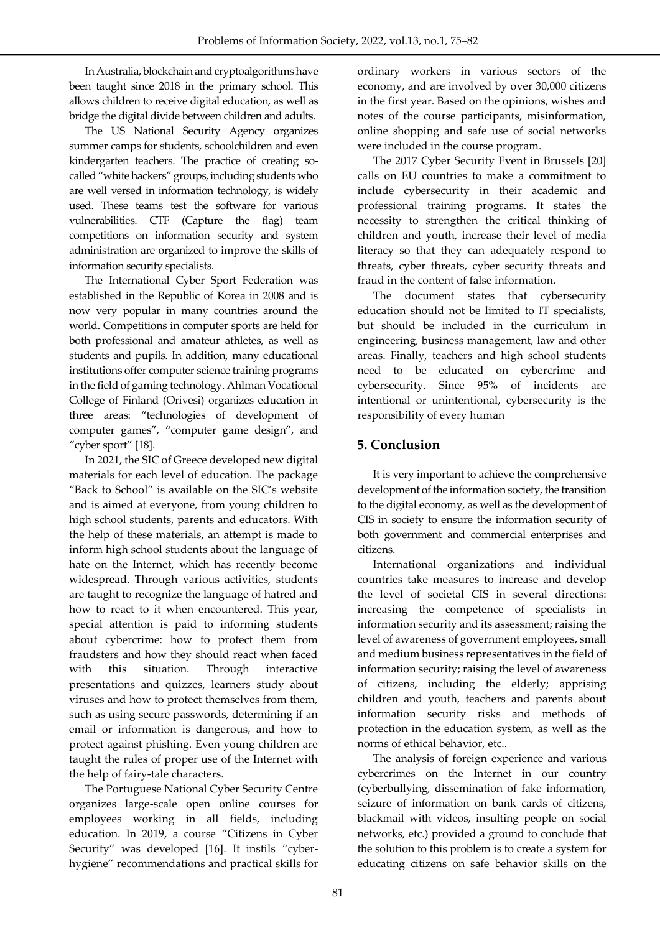In Australia, blockchain and cryptoalgorithms have been taught since 2018 in the primary school. This allows children to receive digital education, as well as bridge the digital divide between children and adults.

The US National Security Agency organizes summer camps for students, schoolchildren and even kindergarten teachers. The practice of creating socalled "white hackers" groups, including students who are well versed in information technology, is widely used. These teams test the software for various vulnerabilities. CTF (Capture the flag) team competitions on information security and system administration are organized to improve the skills of information security specialists.

The International Cyber Sport Federation was established in the Republic of Korea in 2008 and is now very popular in many countries around the world. Competitions in computer sports are held for both professional and amateur athletes, as well as students and pupils. In addition, many educational institutions offer computer science training programs in the field of gaming technology. Ahlman Vocational College of Finland (Orivesi) organizes education in three areas: "technologies of development of computer games", "computer game design", and "cyber sport" [18].

In 2021, the SIC of Greece developed new digital materials for each level of education. The package "Back to School" is available on the SIC's website and is aimed at everyone, from young children to high school students, parents and educators. With the help of these materials, an attempt is made to inform high school students about the language of hate on the Internet, which has recently become widespread. Through various activities, students are taught to recognize the language of hatred and how to react to it when encountered. This year, special attention is paid to informing students about cybercrime: how to protect them from fraudsters and how they should react when faced with this situation. Through interactive presentations and quizzes, learners study about viruses and how to protect themselves from them, such as using secure passwords, determining if an email or information is dangerous, and how to protect against phishing. Even young children are taught the rules of proper use of the Internet with the help of fairy-tale characters.

The Portuguese National Cyber Security Centre organizes large-scale open online courses for employees working in all fields, including education. In 2019, a course "Citizens in Cyber Security" was developed [16]. It instils "cyberhygiene" recommendations and practical skills for ordinary workers in various sectors of the economy, and are involved by over 30,000 citizens in the first year. Based on the opinions, wishes and notes of the course participants, misinformation, online shopping and safe use of social networks were included in the course program.

The 2017 Cyber Security Event in Brussels [20] calls on EU countries to make a commitment to include cybersecurity in their academic and professional training programs. It states the necessity to strengthen the critical thinking of children and youth, increase their level of media literacy so that they can adequately respond to threats, cyber threats, cyber security threats and fraud in the content of false information.

The document states that cybersecurity education should not be limited to IT specialists, but should be included in the curriculum in engineering, business management, law and other areas. Finally, teachers and high school students need to be educated on cybercrime and cybersecurity. Since 95% of incidents are intentional or unintentional, cybersecurity is the responsibility of every human

### **5. Conclusion**

It is very important to achieve the comprehensive development of the information society, the transition to the digital economy, as well as the development of CIS in society to ensure the information security of both government and commercial enterprises and citizens.

International organizations and individual countries take measures to increase and develop the level of societal CIS in several directions: increasing the competence of specialists in information security and its assessment; raising the level of awareness of government employees, small and medium business representatives in the field of information security; raising the level of awareness of citizens, including the elderly; apprising children and youth, teachers and parents about information security risks and methods of protection in the education system, as well as the norms of ethical behavior, etc..

The analysis of foreign experience and various cybercrimes on the Internet in our country (cyberbullying, dissemination of fake information, seizure of information on bank cards of citizens, blackmail with videos, insulting people on social networks, etc.) provided a ground to conclude that the solution to this problem is to create a system for educating citizens on safe behavior skills on the